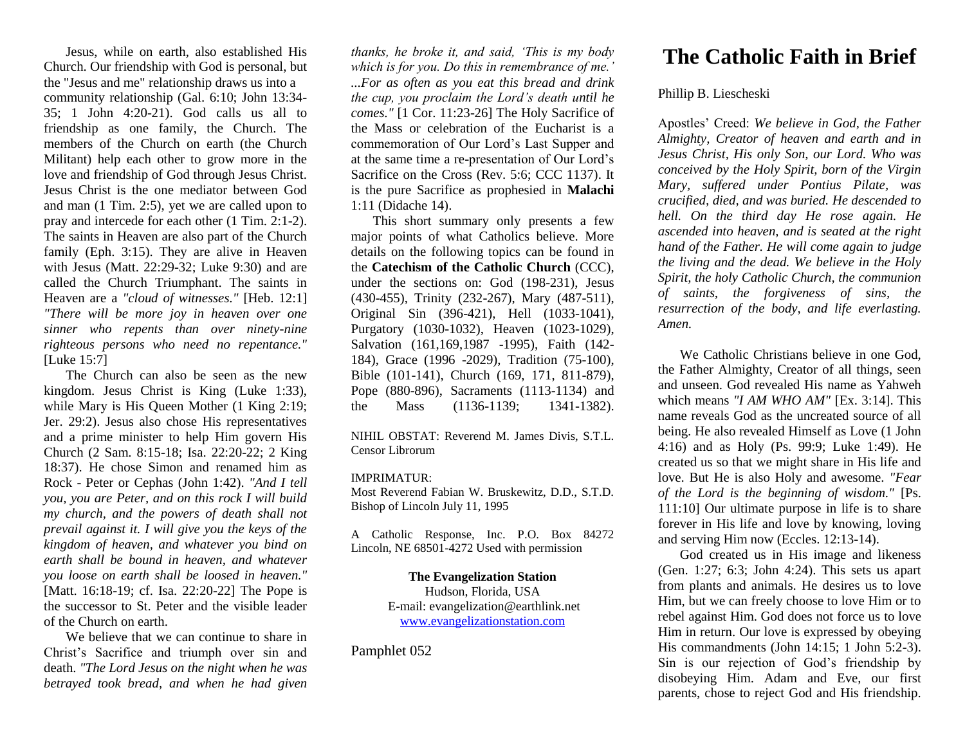Jesus, while on earth, also established His Church. Our friendship with God is personal, but the "Jesus and me" relationship draws us into a community relationship (Gal. 6:10; John 13:34- 35; 1 John 4:20-21). God calls us all to friendship as one family, the Church. The members of the Church on earth (the Church Militant) help each other to grow more in the love and friendship of God through Jesus Christ. Jesus Christ is the one mediator between God and man (1 Tim. 2:5), yet we are called upon to pray and intercede for each other (1 Tim. 2:1-2). The saints in Heaven are also part of the Church family (Eph. 3:15). They are alive in Heaven with Jesus (Matt. 22:29-32; Luke 9:30) and are called the Church Triumphant. The saints in Heaven are a *"cloud of witnesses."* [Heb. 12:1] *"There will be more joy in heaven over one sinner who repents than over ninety-nine righteous persons who need no repentance."* [Luke 15:7]

The Church can also be seen as the new kingdom. Jesus Christ is King (Luke 1:33), while Mary is His Queen Mother (1 King 2:19; Jer. 29:2). Jesus also chose His representatives and a prime minister to help Him govern His Church (2 Sam. 8:15-18; Isa. 22:20-22; 2 King 18:37). He chose Simon and renamed him as Rock - Peter or Cephas (John 1:42). *"And I tell you, you are Peter, and on this rock I will build my church, and the powers of death shall not prevail against it. I will give you the keys of the kingdom of heaven, and whatever you bind on earth shall be bound in heaven, and whatever you loose on earth shall be loosed in heaven."* [Matt. 16:18-19; cf. Isa. 22:20-22] The Pope is the successor to St. Peter and the visible leader of the Church on earth.

We believe that we can continue to share in Christ's Sacrifice and triumph over sin and death. *"The Lord Jesus on the night when he was betrayed took bread, and when he had given* 

*thanks, he broke it, and said, 'This is my body which is for you. Do this in remembrance of me.' ...For as often as you eat this bread and drink the cup, you proclaim the Lord's death until he comes."* [1 Cor. 11:23-26] The Holy Sacrifice of the Mass or celebration of the Eucharist is a commemoration of Our Lord's Last Supper and at the same time a re-presentation of Our Lord's Sacrifice on the Cross (Rev. 5:6; CCC 1137). It is the pure Sacrifice as prophesied in **Malachi** 1:11 (Didache 14).

This short summary only presents a few major points of what Catholics believe. More details on the following topics can be found in the **Catechism of the Catholic Church** (CCC), under the sections on: God (198-231), Jesus (430-455), Trinity (232-267), Mary (487-511), Original Sin (396-421), Hell (1033-1041), Purgatory (1030-1032), Heaven (1023-1029), Salvation (161,169,1987 -1995), Faith (142- 184), Grace (1996 -2029), Tradition (75-100), Bible (101-141), Church (169, 171, 811-879), Pope (880-896), Sacraments (1113-1134) and the Mass (1136-1139; 1341-1382).

NIHIL OBSTAT: Reverend M. James Divis, S.T.L. Censor Librorum

## IMPRIMATUR:

Most Reverend Fabian W. Bruskewitz, D.D., S.T.D. Bishop of Lincoln July 11, 1995

A Catholic Response, Inc. P.O. Box 84272 Lincoln, NE 68501-4272 Used with permission

> **The Evangelization Station** Hudson, Florida, USA E-mail: evangelization@earthlink.net [www.evangelizationstation.com](http://www.pjpiisoe.org/)

Pamphlet 052

## **The Catholic Faith in Brief**

## Phillip B. Liescheski

Apostles' Creed: *We believe in God, the Father Almighty, Creator of heaven and earth and in Jesus Christ, His only Son, our Lord. Who was conceived by the Holy Spirit, born of the Virgin Mary, suffered under Pontius Pilate, was crucified, died, and was buried. He descended to hell. On the third day He rose again. He ascended into heaven, and is seated at the right hand of the Father. He will come again to judge the living and the dead. We believe in the Holy Spirit, the holy Catholic Church, the communion of saints, the forgiveness of sins, the resurrection of the body, and life everlasting. Amen.*

We Catholic Christians believe in one God, the Father Almighty, Creator of all things, seen and unseen. God revealed His name as Yahweh which means *"I AM WHO AM"* [Ex. 3:14]. This name reveals God as the uncreated source of all being. He also revealed Himself as Love (1 John 4:16) and as Holy (Ps. 99:9; Luke 1:49). He created us so that we might share in His life and love. But He is also Holy and awesome. *"Fear of the Lord is the beginning of wisdom."* [Ps. 111:10] Our ultimate purpose in life is to share forever in His life and love by knowing, loving and serving Him now (Eccles. 12:13-14).

God created us in His image and likeness (Gen. 1:27; 6:3; John 4:24). This sets us apart from plants and animals. He desires us to love Him, but we can freely choose to love Him or to rebel against Him. God does not force us to love Him in return. Our love is expressed by obeying His commandments (John 14:15; 1 John 5:2-3). Sin is our rejection of God's friendship by disobeying Him. Adam and Eve, our first parents, chose to reject God and His friendship.